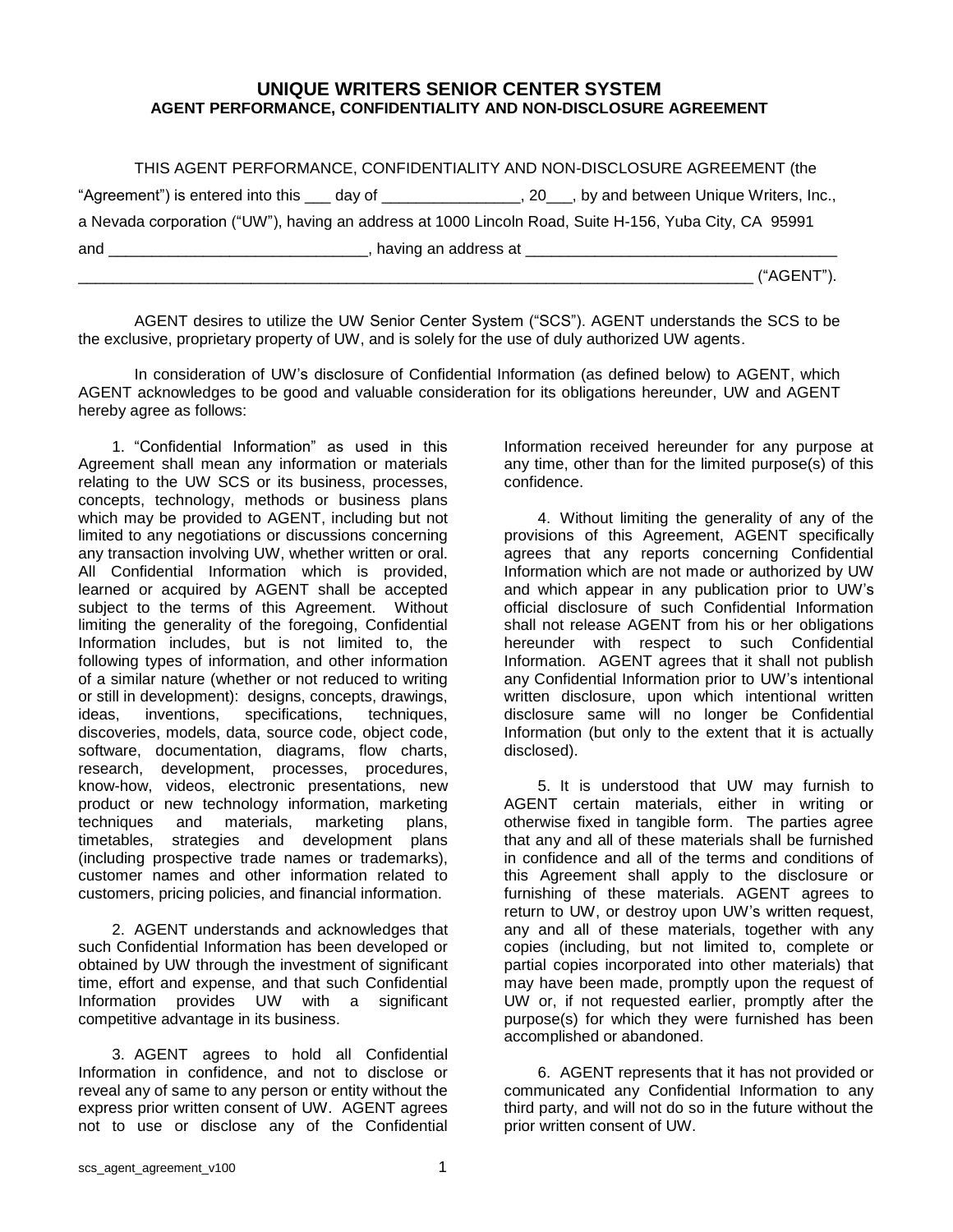## **UNIQUE WRITERS SENIOR CENTER SYSTEM AGENT PERFORMANCE, CONFIDENTIALITY AND NON-DISCLOSURE AGREEMENT**

| THIS AGENT PERFORMANCE, CONFIDENTIALITY AND NON-DISCLOSURE AGREEMENT (the                                      |                                                                                                                                                                                                                                      |
|----------------------------------------------------------------------------------------------------------------|--------------------------------------------------------------------------------------------------------------------------------------------------------------------------------------------------------------------------------------|
| "Agreement") is entered into this ____ day of ___________________, 20___, by and between Unique Writers, Inc., |                                                                                                                                                                                                                                      |
| a Nevada corporation ("UW"), having an address at 1000 Lincoln Road, Suite H-156, Yuba City, CA 95991          |                                                                                                                                                                                                                                      |
| and                                                                                                            | having an address at <b>container the set of the set of the set of the set of the set of the set of the set of the set of the set of the set of the set of the set of the set of the set of the set of the set of the set of the</b> |
|                                                                                                                | . ("AGENT").                                                                                                                                                                                                                         |

AGENT desires to utilize the UW Senior Center System ("SCS"). AGENT understands the SCS to be the exclusive, proprietary property of UW, and is solely for the use of duly authorized UW agents.

In consideration of UW's disclosure of Confidential Information (as defined below) to AGENT, which AGENT acknowledges to be good and valuable consideration for its obligations hereunder, UW and AGENT hereby agree as follows:

1. "Confidential Information" as used in this Agreement shall mean any information or materials relating to the UW SCS or its business, processes, concepts, technology, methods or business plans which may be provided to AGENT, including but not limited to any negotiations or discussions concerning any transaction involving UW, whether written or oral. All Confidential Information which is provided, learned or acquired by AGENT shall be accepted subject to the terms of this Agreement. Without limiting the generality of the foregoing, Confidential Information includes, but is not limited to, the following types of information, and other information of a similar nature (whether or not reduced to writing or still in development): designs, concepts, drawings, ideas, inventions, specifications, techniques, discoveries, models, data, source code, object code, software, documentation, diagrams, flow charts, research, development, processes, procedures, know-how, videos, electronic presentations, new product or new technology information, marketing techniques and materials, marketing plans, timetables, strategies and development plans (including prospective trade names or trademarks), customer names and other information related to customers, pricing policies, and financial information.

2. AGENT understands and acknowledges that such Confidential Information has been developed or obtained by UW through the investment of significant time, effort and expense, and that such Confidential Information provides UW with a significant competitive advantage in its business.

3. AGENT agrees to hold all Confidential Information in confidence, and not to disclose or reveal any of same to any person or entity without the express prior written consent of UW. AGENT agrees not to use or disclose any of the Confidential

Information received hereunder for any purpose at any time, other than for the limited purpose(s) of this confidence.

4. Without limiting the generality of any of the provisions of this Agreement, AGENT specifically agrees that any reports concerning Confidential Information which are not made or authorized by UW and which appear in any publication prior to UW's official disclosure of such Confidential Information shall not release AGENT from his or her obligations hereunder with respect to such Confidential Information. AGENT agrees that it shall not publish any Confidential Information prior to UW's intentional written disclosure, upon which intentional written disclosure same will no longer be Confidential Information (but only to the extent that it is actually disclosed).

5. It is understood that UW may furnish to AGENT certain materials, either in writing or otherwise fixed in tangible form. The parties agree that any and all of these materials shall be furnished in confidence and all of the terms and conditions of this Agreement shall apply to the disclosure or furnishing of these materials. AGENT agrees to return to UW, or destroy upon UW's written request, any and all of these materials, together with any copies (including, but not limited to, complete or partial copies incorporated into other materials) that may have been made, promptly upon the request of UW or, if not requested earlier, promptly after the purpose(s) for which they were furnished has been accomplished or abandoned.

6. AGENT represents that it has not provided or communicated any Confidential Information to any third party, and will not do so in the future without the prior written consent of UW.